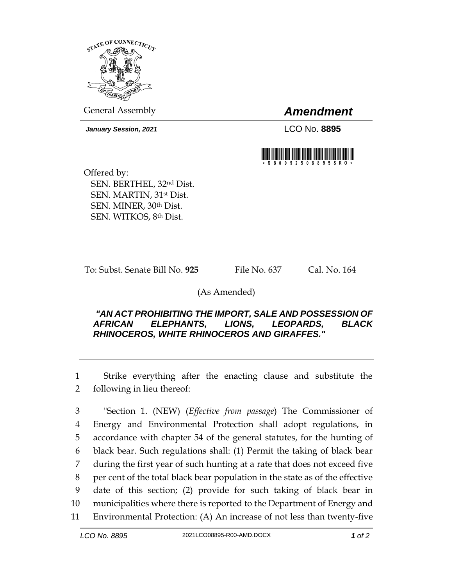

General Assembly *Amendment*

*January Session, 2021* LCO No. **8895**



Offered by: SEN. BERTHEL, 32nd Dist. SEN. MARTIN, 31st Dist. SEN. MINER, 30th Dist. SEN. WITKOS, 8th Dist.

To: Subst. Senate Bill No. **925** File No. 637 Cal. No. 164

## (As Amended)

## *"AN ACT PROHIBITING THE IMPORT, SALE AND POSSESSION OF AFRICAN ELEPHANTS, LIONS, LEOPARDS, BLACK RHINOCEROS, WHITE RHINOCEROS AND GIRAFFES."*

1 Strike everything after the enacting clause and substitute the 2 following in lieu thereof:

 "Section 1. (NEW) (*Effective from passage*) The Commissioner of Energy and Environmental Protection shall adopt regulations, in accordance with chapter 54 of the general statutes, for the hunting of black bear. Such regulations shall: (1) Permit the taking of black bear during the first year of such hunting at a rate that does not exceed five per cent of the total black bear population in the state as of the effective date of this section; (2) provide for such taking of black bear in municipalities where there is reported to the Department of Energy and Environmental Protection: (A) An increase of not less than twenty-five